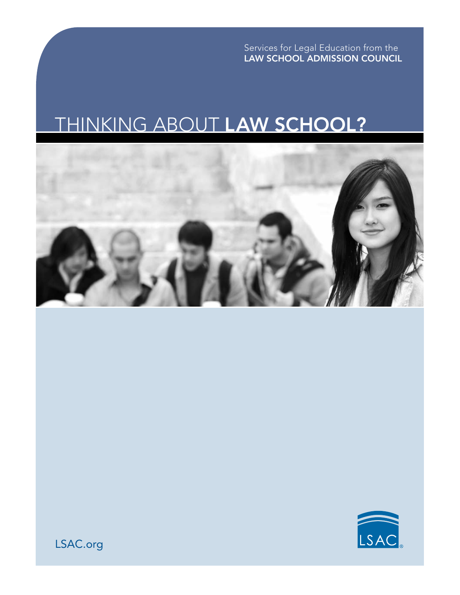Services for Legal Education from the **LAW SCHOOL ADMISSION COUNCIL**

# THINKING ABOUT **LAW SCHOOL?**





[LSAC.org](www.LSAC.org)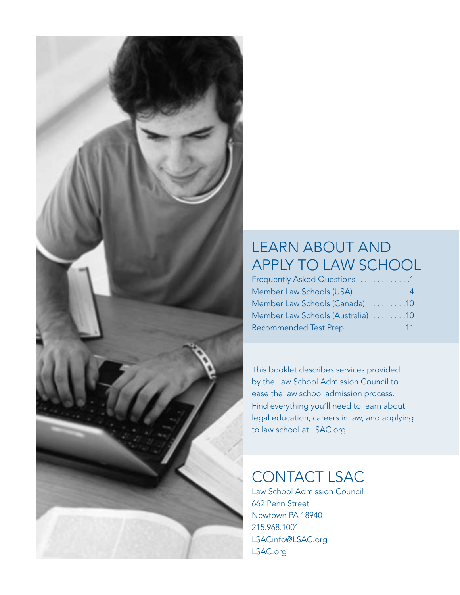## LEARN ABOUT AND APPLY TO LAW SCHOOL

| Frequently Asked Questions 1      |  |
|-----------------------------------|--|
| Member Law Schools (USA) 4        |  |
| Member Law Schools (Canada) 10    |  |
| Member Law Schools (Australia) 10 |  |
| Recommended Test Prep 11          |  |

This booklet describes services provided by the Law School Admission Council to ease the law school admission process. Find everything you'll need to learn about legal education, careers in law, and applying to law school a[t LSAC.org.](www.LSAC.org)

## CONTACT LSAC

Law School Admission Council 662 Penn Street Newtown PA 18940 215.968.1001 [LSACinfo@LSAC.org](mailto:LSACinfo@LSAC.org) [LSAC.org](www.LSAC.org)

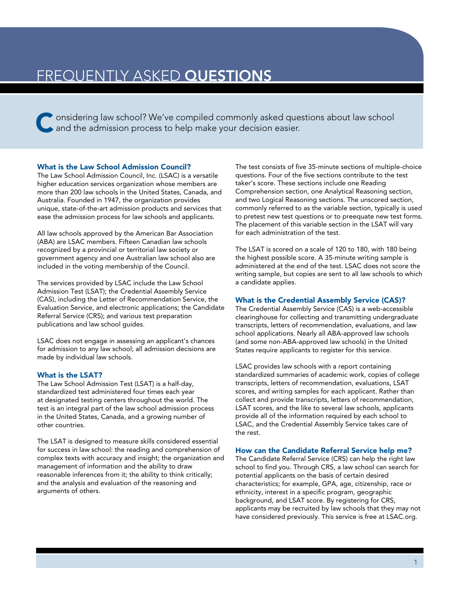## FREQUENTLY ASKED **QUESTIONS**

**Considering law school? We've compiled commonly asked questions about law school** and the admission process to help make your decision easier.

#### **What is the Law School Admission Council?**

The Law School Admission Council, Inc. (LSAC) is a versatile higher education services organization whose members are more than 200 law schools in the United States, Canada, and Australia. Founded in 1947, the organization provides unique, state-of-the-art admission products and services that ease the admission process for law schools and applicants.

All law schools approved by the American Bar Association (ABA) are LSAC members. Fifteen Canadian law schools recognized by a provincial or territorial law society or government agency and one Australian law school also are included in the voting membership of the Council.

The services provided by LSAC include the Law School Admission Test (LSAT); the Credential Assembly Service (CAS), including the Letter of Recommendation Service, the Evaluation Service, and electronic applications; the Candidate Referral Service (CRS); and various test preparation publications and law school guides.

LSAC does not engage in assessing an applicant's chances for admission to any law school; all admission decisions are made by individual law schools.

#### **What is the LSAT?**

The Law School Admission Test (LSAT) is a half-day, standardized test administered four times each year at designated testing centers throughout the world. The test is an integral part of the law school admission process in the United States, Canada, and a growing number of other countries.

The LSAT is designed to measure skills considered essential for success in law school: the reading and comprehension of complex texts with accuracy and insight; the organization and management of information and the ability to draw reasonable inferences from it; the ability to think critically; and the analysis and evaluation of the reasoning and arguments of others.

The test consists of five 35-minute sections of multiple-choice questions. Four of the five sections contribute to the test taker's score. These sections include one Reading Comprehension section, one Analytical Reasoning section, and two Logical Reasoning sections. The unscored section, commonly referred to as the variable section, typically is used to pretest new test questions or to preequate new test forms. The placement of this variable section in the LSAT will vary for each administration of the test.

The LSAT is scored on a scale of 120 to 180, with 180 being the highest possible score. A 35-minute writing sample is administered at the end of the test. LSAC does not score the writing sample, but copies are sent to all law schools to which a candidate applies.

#### **What is the Credential Assembly Service (CAS)?**

The Credential Assembly Service (CAS) is a web-accessible clearinghouse for collecting and transmitting undergraduate transcripts, letters of recommendation, evaluations, and law school applications. Nearly all ABA-approved law schools (and some non-ABA-approved law schools) in the United States require applicants to register for this service.

LSAC provides law schools with a report containing standardized summaries of academic work, copies of college transcripts, letters of recommendation, evaluations, LSAT scores, and writing samples for each applicant. Rather than collect and provide transcripts, letters of recommendation, LSAT scores, and the like to several law schools, applicants provide all of the information required by each school to LSAC, and the Credential Assembly Service takes care of the rest.

#### **How can the Candidate Referral Service help me?**

The Candidate Referral Service (CRS) can help the right law school to find you. Through CRS, a law school can search for potential applicants on the basis of certain desired characteristics; for example, GPA, age, citizenship, race or ethnicity, interest in a specific program, geographic background, and LSAT score. By registering for CRS, applicants may be recruited by law schools that they may not have considered previously. This service is free at LSAC.org.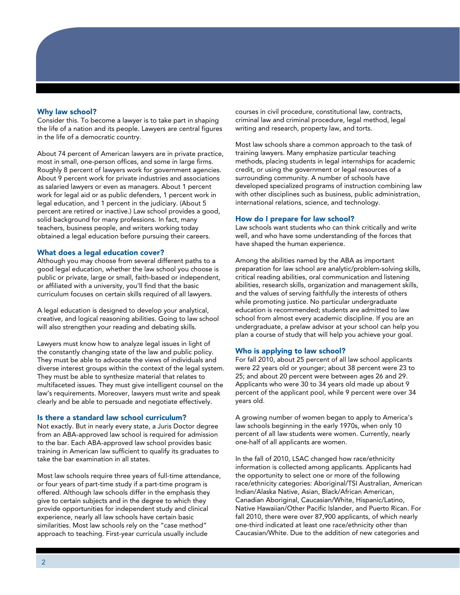#### **Why law school?**

Consider this. To become a lawyer is to take part in shaping the life of a nation and its people. Lawyers are central figures in the life of a democratic country.

About 74 percent of American lawyers are in private practice, most in small, one-person offices, and some in large firms. Roughly 8 percent of lawyers work for government agencies. About 9 percent work for private industries and associations as salaried lawyers or even as managers. About 1 percent work for legal aid or as public defenders, 1 percent work in legal education, and 1 percent in the judiciary. (About 5 percent are retired or inactive.) Law school provides a good, solid background for many professions. In fact, many teachers, business people, and writers working today obtained a legal education before pursuing their careers.

#### **What does a legal education cover?**

Although you may choose from several different paths to a good legal education, whether the law school you choose is public or private, large or small, faith-based or independent, or affiliated with a university, you'll find that the basic curriculum focuses on certain skills required of all lawyers.

A legal education is designed to develop your analytical, creative, and logical reasoning abilities. Going to law school will also strengthen your reading and debating skills.

Lawyers must know how to analyze legal issues in light of the constantly changing state of the law and public policy. They must be able to advocate the views of individuals and diverse interest groups within the context of the legal system. They must be able to synthesize material that relates to multifaceted issues. They must give intelligent counsel on the law's requirements. Moreover, lawyers must write and speak clearly and be able to persuade and negotiate effectively.

#### **Is there a standard law school curriculum?**

Not exactly. But in nearly every state, a Juris Doctor degree from an ABA-approved law school is required for admission to the bar. Each ABA-approved law school provides basic training in American law sufficient to qualify its graduates to take the bar examination in all states.

Most law schools require three years of full-time attendance, or four years of part-time study if a part-time program is offered. Although law schools differ in the emphasis they give to certain subjects and in the degree to which they provide opportunities for independent study and clinical experience, nearly all law schools have certain basic similarities. Most law schools rely on the "case method" approach to teaching. First-year curricula usually include

courses in civil procedure, constitutional law, contracts, criminal law and criminal procedure, legal method, legal writing and research, property law, and torts.

Most law schools share a common approach to the task of training lawyers. Many emphasize particular teaching methods, placing students in legal internships for academic credit, or using the government or legal resources of a surrounding community. A number of schools have developed specialized programs of instruction combining law with other disciplines such as business, public administration, international relations, science, and technology.

#### **How do I prepare for law school?**

Law schools want students who can think critically and write well, and who have some understanding of the forces that have shaped the human experience.

Among the abilities named by the ABA as important preparation for law school are analytic/problem-solving skills, critical reading abilities, oral communication and listening abilities, research skills, organization and management skills, and the values of serving faithfully the interests of others while promoting justice. No particular undergraduate education is recommended; students are admitted to law school from almost every academic discipline. If you are an undergraduate, a prelaw advisor at your school can help you plan a course of study that will help you achieve your goal.

#### **Who is applying to law school?**

For fall 2010, about 25 percent of all law school applicants were 22 years old or younger; about 38 percent were 23 to 25; and about 20 percent were between ages 26 and 29. Applicants who were 30 to 34 years old made up about 9 percent of the applicant pool, while 9 percent were over 34 years old.

A growing number of women began to apply to America's law schools beginning in the early 1970s, when only 10 percent of all law students were women. Currently, nearly one-half of all applicants are women.

In the fall of 2010, LSAC changed how race/ethnicity information is collected among applicants. Applicants had the opportunity to select one or more of the following race/ethnicity categories: Aboriginal/TSI Australian, American Indian/Alaska Native, Asian, Black/African American, Canadian Aboriginal, Caucasian/White, Hispanic/Latino, Native Hawaiian/Other Pacific Islander, and Puerto Rican. For fall 2010, there were over 87,900 applicants, of which nearly one-third indicated at least one race/ethnicity other than Caucasian/White. Due to the addition of new categories and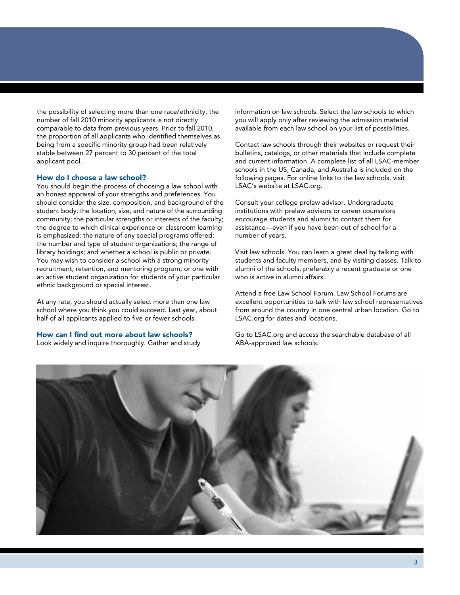the possibility of selecting more than one race/ethnicity, the number of fall 2010 minority applicants is not directly comparable to data from previous years. Prior to fall 2010, the proportion of all applicants who identified themselves as being from a specific minority group had been relatively stable between 27 percent to 30 percent of the total applicant pool.

#### **How do I choose a law school?**

You should begin the process of choosing a law school with an honest appraisal of your strengths and preferences. You should consider the size, composition, and background of the student body; the location, size, and nature of the surrounding community; the particular strengths or interests of the faculty; the degree to which clinical experience or classroom learning is emphasized; the nature of any special programs offered; the number and type of student organizations; the range of library holdings; and whether a school is public or private. You may wish to consider a school with a strong minority recruitment, retention, and mentoring program, or one with an active student organization for students of your particular ethnic background or special interest.

At any rate, you should actually select more than one law school where you think you could succeed. Last year, about half of all applicants applied to five or fewer schools.

**How can I find out more about law schools?** Look widely and inquire thoroughly. Gather and study information on law schools. Select the law schools to which you will apply only after reviewing the admission material available from each law school on your list of possibilities.

Contact law schools through their websites or request their bulletins, catalogs, or other materials that include complete and current information. A complete list of all LSAC-member schools in the US, Canada, and Australia is included on the following pages. For online links to the law schools, visit LSAC's website at LSAC.org.

Consult your college prelaw advisor. Undergraduate institutions with prelaw advisors or career counselors encourage students and alumni to contact them for assistance—even if you have been out of school for a number of years.

Visit law schools. You can learn a great deal by talking with students and faculty members, and by visiting classes. Talk to alumni of the schools, preferably a recent graduate or one who is active in alumni affairs.

Attend a free Law School Forum. Law School Forums are excellent opportunities to talk with law school representatives from around the country in one central urban location. Go to [LSAC.org f](http://www.LSAC.org)or dates and locations.

Go t[o LSAC.org](http://www.LSAC.org) and access the searchable database of all ABA-approved law schools.

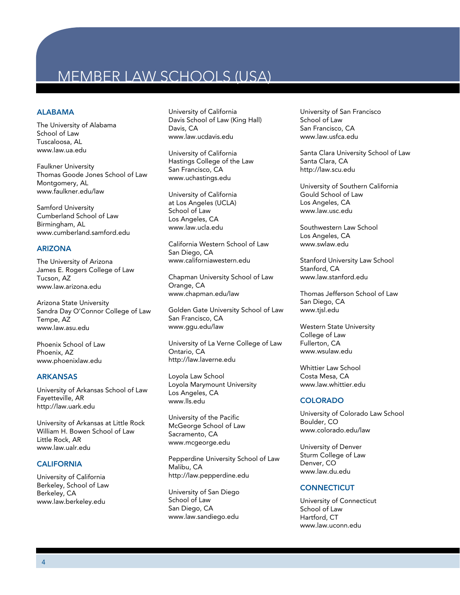## MEMBER LAW SCHOOLS (USA)

#### **ALABAMA**

The University of Alabama School of Law Tuscaloosa, AL <www.law.ua.edu>

Faulkner University Thomas Goode Jones School of Law Montgomery, AL <www.faulkner.edu/law>

Samford University Cumberland School of Law Birmingham, AL <www.cumberland.samford.edu>

#### **ARIZONA**

The University of Arizona James E. Rogers College of Law Tucson, AZ <www.law.arizona.edu>

Arizona State University Sandra Day O'Connor College of Law Tempe, AZ <www.law.asu.edu>

Phoenix School of Law Phoenix, AZ <www.phoenixlaw.edu>

#### **ARKANSAS**

University of Arkansas School of Law Fayetteville, AR <http://law.uark.edu>

University of Arkansas at Little Rock William H. Bowen School of Law Little Rock, AR <www.law.ualr.edu>

#### **CALIFORNIA**

University of California Berkeley, School of Law Berkeley, CA <www.law.berkeley.edu>

University of California Davis School of Law (King Hall) Davis, CA <www.law.ucdavis.edu>

University of California Hastings College of the Law San Francisco, CA <www.uchastings.edu>

University of California at Los Angeles (UCLA) School of Law Los Angeles, CA <www.law.ucla.edu>

California Western School of Law San Diego, CA <www.californiawestern.edu>

Chapman University School of Law Orange, CA <www.chapman.edu/law>

Golden Gate University School of Law San Francisco, CA <www.ggu.edu/law>

University of La Verne College of Law Ontario, CA <http://law.laverne.edu>

Loyola Law School Loyola Marymount University Los Angeles, CA <www.lls.edu>

University of the Pacific McGeorge School of Law Sacramento, CA <www.mcgeorge.edu>

Pepperdine University School of Law Malibu, CA <http://law.pepperdine.edu>

University of San Diego School of Law San Diego, CA <www.law.sandiego.edu>

University of San Francisco School of Law San Francisco, CA <www.law.usfca.edu>

Santa Clara University School of Law Santa Clara, CA <http://law.scu.edu>

University of Southern California Gould School of Law Los Angeles, CA <www.law.usc.edu>

Southwestern Law School Los Angeles, CA <www.swlaw.edu>

Stanford University Law School Stanford, CA <www.law.stanford.edu>

Thomas Jefferson School of Law San Diego, CA <www.tjsl.edu>

Western State University College of Law Fullerton, CA <www.wsulaw.edu>

Whittier Law School Costa Mesa, CA <www.law.whittier.edu>

#### **COLORADO**

University of Colorado Law School Boulder, CO <www.colorado.edu/law>

University of Denver Sturm College of Law Denver, CO <www.law.du.edu>

#### **CONNECTICUT**

University of Connecticut School of Law Hartford, CT <www.law.uconn.edu>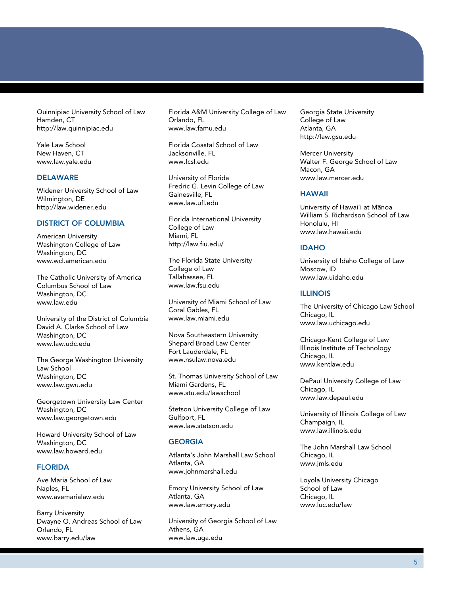Quinnipiac University School of Law Hamden, CT <http://law.quinnipiac.edu>

Yale Law School New Haven, CT <www.law.yale.edu>

#### **DELAWARE**

Widener University School of Law Wilmington, DE <http://law.widener.edu>

#### **DISTRICT OF COLUMBIA**

American University Washington College of Law Washington, DC <www.wcl.american.edu>

The Catholic University of America Columbus School of Law Washington, DC <www.law.edu>

University of the District of Columbia David A. Clarke School of Law Washington, DC <www.law.udc.edu>

The George Washington University Law School Washington, DC <www.law.gwu.edu>

Georgetown University Law Center Washington, DC <www.law.georgetown.edu>

Howard University School of Law Washington, DC <www.law.howard.edu>

#### **FLORIDA**

Ave Maria School of Law Naples, FL <www.avemarialaw.edu>

Barry University Dwayne O. Andreas School of Law Orlando, FL <www.barry.edu/law>

Florida A&M University College of Law Orlando, FL <www.law.famu.edu>

Florida Coastal School of Law Jacksonville, FL <www.fcsl.edu>

University of Florida Fredric G. Levin College of Law Gainesville, FL <www.law.ufl.edu>

Florida International University College of Law Miami, FL <http://law.fiu.edu/>

The Florida State University College of Law Tallahassee, FL <www.law.fsu.edu>

University of Miami School of Law Coral Gables, FL <www.law.miami.edu>

Nova Southeastern University Shepard Broad Law Center Fort Lauderdale, FL <www.nsulaw.nova.edu>

St. Thomas University School of Law Miami Gardens, FL <www.stu.edu/lawschool>

Stetson University College of Law Gulfport, FL <www.law.stetson.edu>

#### **GEORGIA**

Atlanta's John Marshall Law School Atlanta, GA <www.johnmarshall.edu>

Emory University School of Law Atlanta, GA <www.law.emory.edu>

University of Georgia School of Law Athens, GA <www.law.uga.edu>

Georgia State University College of Law Atlanta, GA <http://law.gsu.edu>

Mercer University Walter F. George School of Law Macon, GA <www.law.mercer.edu>

#### **HAWAII**

University of Hawai'i at Manoa William S. Richardson School of Law Honolulu, HI <www.law.hawaii.edu>

#### **IDAHO**

University of Idaho College of Law Moscow, ID <www.law.uidaho.edu>

#### **ILLINOIS**

The University of Chicago Law School Chicago, IL <www.law.uchicago.edu>

Chicago-Kent College of Law Illinois Institute of Technology Chicago, IL <www.kentlaw.edu>

DePaul University College of Law Chicago, IL <www.law.depaul.edu>

University of Illinois College of Law Champaign, IL <www.law.illinois.edu>

The John Marshall Law School Chicago, IL <www.jmls.edu>

Loyola University Chicago School of Law Chicago, IL <www.luc.edu/law>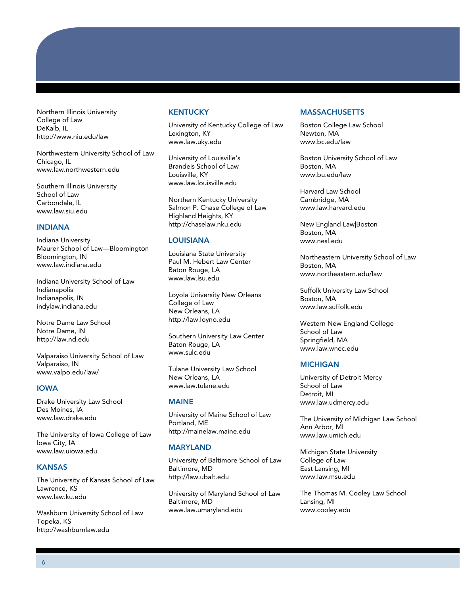Northern Illinois University College of Law DeKalb, IL <http://www.niu.edu/law>

Northwestern University School of Law Chicago, IL <www.law.northwestern.edu>

Southern Illinois University School of Law Carbondale, IL <www.law.siu.edu>

#### **INDIANA**

Indiana University Maurer School of Law—Bloomington Bloomington, IN <www.law.indiana.edu>

Indiana University School of Law Indianapolis Indianapolis, IN <indylaw.indiana.edu>

Notre Dame Law School Notre Dame, IN <http://law.nd.edu>

Valparaiso University School of Law Valparaiso, IN <www.valpo.edu/law/>

#### **IOWA**

Drake University Law School Des Moines, IA <www.law.drake.edu>

The University of Iowa College of Law Iowa City, IA <www.law.uiowa.edu>

#### **KANSAS**

The University of Kansas School of Law Lawrence, KS <www.law.ku.edu>

Washburn University School of Law Topeka, KS <http://washburnlaw.edu>

#### **KENTUCKY**

University of Kentucky College of Law Lexington, KY <www.law.uky.edu>

University of Louisville's Brandeis School of Law Louisville, KY <www.law.louisville.edu>

Northern Kentucky University Salmon P. Chase College of Law Highland Heights, KY <http://chaselaw.nku.edu>

#### **LOUISIANA**

Louisiana State University Paul M. Hebert Law Center Baton Rouge, LA <www.law.lsu.edu>

Loyola University New Orleans College of Law New Orleans, LA <http://law.loyno.edu>

Southern University Law Center Baton Rouge, LA <www.sulc.edu>

Tulane University Law School New Orleans, LA <www.law.tulane.edu>

#### **MAINE**

University of Maine School of Law Portland, ME <http://mainelaw.maine.edu>

#### **MARYLAND**

University of Baltimore School of Law Baltimore, MD <http://law.ubalt.edu>

University of Maryland School of Law Baltimore, MD <www.law.umaryland.edu>

#### **MASSACHUSETTS**

Boston College Law School Newton, MA <www.bc.edu/law>

Boston University School of Law Boston, MA <www.bu.edu/law>

Harvard Law School Cambridge, MA <www.law.harvard.edu>

New England Law|Boston Boston, MA <www.nesl.edu>

Northeastern University School of Law Boston, MA <www.northeastern.edu/law>

Suffolk University Law School Boston, MA <www.law.suffolk.edu>

Western New England College School of Law Springfield, MA <www.law.wnec.edu>

#### **MICHIGAN**

University of Detroit Mercy School of Law Detroit, MI <www.law.udmercy.edu>

The University of Michigan Law School Ann Arbor, MI <www.law.umich.edu>

Michigan State University College of Law East Lansing, MI <www.law.msu.edu>

The Thomas M. Cooley Law School Lansing, MI <www.cooley.edu>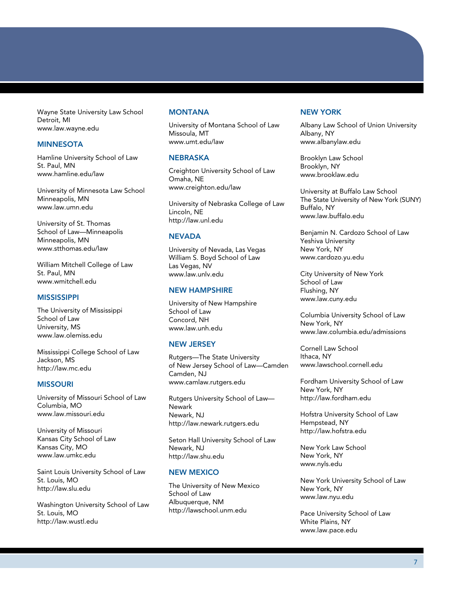Wayne State University Law School Detroit, MI <www.law.wayne.edu>

#### **MINNESOTA**

Hamline University School of Law St. Paul, MN <www.hamline.edu/law>

University of Minnesota Law School Minneapolis, MN <www.law.umn.edu>

University of St. Thomas School of Law—Minneapolis Minneapolis, MN <www.stthomas.edu/law>

William Mitchell College of Law St. Paul, MN <www.wmitchell.edu>

#### **MISSISSIPPI**

The University of Mississippi School of Law University, MS <www.law.olemiss.edu>

Mississippi College School of Law Jackson, MS <http://law.mc.edu>

#### **MISSOURI**

University of Missouri School of Law Columbia, MO <www.law.missouri.edu>

University of Missouri Kansas City School of Law Kansas City, MO <www.law.umkc.edu>

Saint Louis University School of Law St. Louis, MO <http://law.slu.edu>

Washington University School of Law St. Louis, MO <http://law.wustl.edu>

#### **MONTANA**

University of Montana School of Law Missoula, MT <www.umt.edu/law>

#### **NEBRASKA**

Creighton University School of Law Omaha, NE <www.creighton.edu/law>

University of Nebraska College of Law Lincoln, NE <http://law.unl.edu>

#### **NEVADA**

University of Nevada, Las Vegas William S. Boyd School of Law Las Vegas, NV <www.law.unlv.edu>

#### **NEW HAMPSHIRE**

University of New Hampshire School of Law Concord, NH <www.law.unh.edu>

#### **NEW JERSEY**

Rutgers—The State University of New Jersey School of Law—Camden Camden, NJ <www.camlaw.rutgers.edu>

Rutgers University School of Law— Newark Newark, NJ <http://law.newark.rutgers.edu>

Seton Hall University School of Law Newark, NJ <http://law.shu.edu>

#### **NEW MEXICO**

The University of New Mexico School of Law Albuquerque, NM <http://lawschool.unm.edu>

#### **NEW YORK**

Albany Law School of Union University Albany, NY <www.albanylaw.edu>

Brooklyn Law School Brooklyn, NY <www.brooklaw.edu>

University at Buffalo Law School The State University of New York (SUNY) Buffalo, NY <www.law.buffalo.edu>

Benjamin N. Cardozo School of Law Yeshiva University New York, NY <www.cardozo.yu.edu>

City University of New York School of Law Flushing, NY <www.law.cuny.edu>

Columbia University School of Law New York, NY <www.law.columbia.edu/admissions>

Cornell Law School Ithaca, NY <www.lawschool.cornell.edu>

Fordham University School of Law New York, NY <http://law.fordham.edu>

Hofstra University School of Law Hempstead, NY <http://law.hofstra.edu>

New York Law School New York, NY <www.nyls.edu>

New York University School of Law New York, NY <www.law.nyu.edu>

Pace University School of Law White Plains, NY <www.law.pace.edu>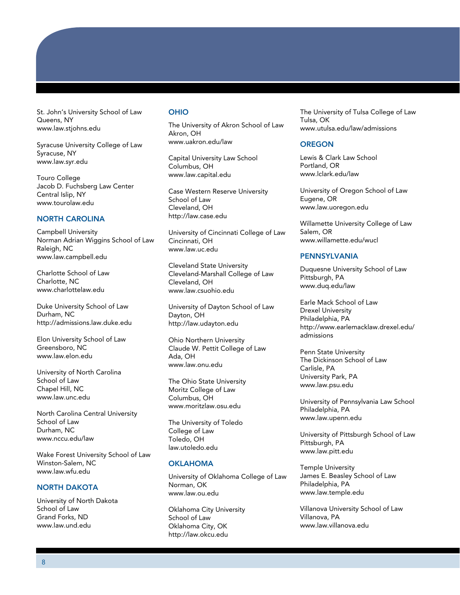St. John's University School of Law Queens, NY <www.law.stjohns.edu>

Syracuse University College of Law Syracuse, NY <www.law.syr.edu>

Touro College Jacob D. Fuchsberg Law Center Central Islip, NY <www.tourolaw.edu>

#### **NORTH CAROLINA**

Campbell University Norman Adrian Wiggins School of Law Raleigh, NC <www.law.campbell.edu>

Charlotte School of Law Charlotte, NC <www.charlottelaw.edu>

Duke University School of Law Durham, NC <http://admissions.law.duke.edu>

Elon University School of Law Greensboro, NC <www.law.elon.edu>

University of North Carolina School of Law Chapel Hill, NC <www.law.unc.edu>

North Carolina Central University School of Law Durham, NC <www.nccu.edu/law>

Wake Forest University School of Law Winston-Salem, NC <www.law.wfu.edu>

#### **NORTH DAKOTA**

University of North Dakota School of Law Grand Forks, ND <www.law.und.edu>

#### **OHIO**

The University of Akron School of Law Akron, OH <www.uakron.edu/law>

Capital University Law School Columbus, OH <www.law.capital.edu>

Case Western Reserve University School of Law Cleveland, OH <http://law.case.edu>

University of Cincinnati College of Law Cincinnati, OH <www.law.uc.edu>

Cleveland State University Cleveland-Marshall College of Law Cleveland, OH <www.law.csuohio.edu>

University of Dayton School of Law Dayton, OH <http://law.udayton.edu>

Ohio Northern University Claude W. Pettit College of Law Ada, OH <www.law.onu.edu>

The Ohio State University Moritz College of Law Columbus, OH <www.moritzlaw.osu.edu>

The University of Toledo College of Law Toledo, OH <law.utoledo.edu>

#### **OKLAHOMA**

University of Oklahoma College of Law Norman, OK <www.law.ou.edu>

Oklahoma City University School of Law Oklahoma City, OK <http://law.okcu.edu>

The University of Tulsa College of Law Tulsa, OK <www.utulsa.edu/law/admissions>

#### **OREGON**

Lewis & Clark Law School Portland, OR <www.lclark.edu/law>

University of Oregon School of Law Eugene, OR <www.law.uoregon.edu>

Willamette University College of Law Salem, OR <www.willamette.edu/wucl>

#### **PENNSYLVANIA**

Duquesne University School of Law Pittsburgh, PA <www.duq.edu/law>

Earle Mack School of Law Drexel University Philadelphia, PA [http://www.earlemacklaw.drexel.edu/](http://www.earlemacklaw.drexel.edu/admissions) admissions

Penn State University The Dickinson School of Law Carlisle, PA University Park, PA <www.law.psu.edu>

University of Pennsylvania Law School Philadelphia, PA <www.law.upenn.edu>

University of Pittsburgh School of Law Pittsburgh, PA <www.law.pitt.edu>

Temple University James E. Beasley School of Law Philadelphia, PA <www.law.temple.edu>

Villanova University School of Law Villanova, PA <www.law.villanova.edu>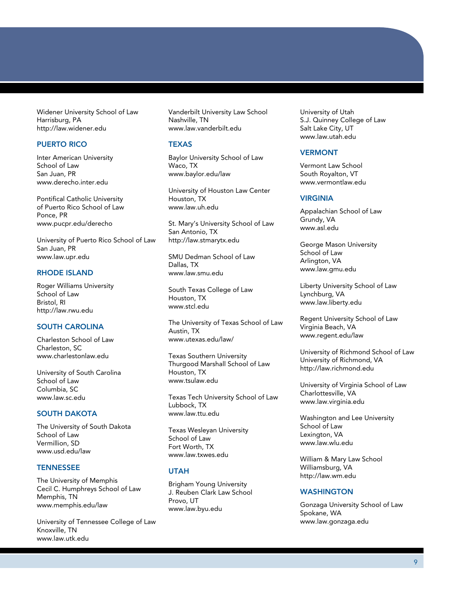Widener University School of Law Harrisburg, PA <http://law.widener.edu>

#### **PUERTO RICO**

Inter American University School of Law San Juan, PR <www.derecho.inter.edu>

Pontifical Catholic University of Puerto Rico School of Law Ponce, PR <www.pucpr.edu/derecho>

University of Puerto Rico School of Law San Juan, PR <www.law.upr.edu>

#### **RHODE ISLAND**

Roger Williams University School of Law Bristol, RI <http://law.rwu.edu>

#### **SOUTH CAROLINA**

Charleston School of Law Charleston, SC <www.charlestonlaw.edu>

University of South Carolina School of Law Columbia, SC <www.law.sc.edu>

#### **SOUTH DAKOTA**

The University of South Dakota School of Law Vermillion, SD <www.usd.edu/law>

#### **TENNESSEE**

The University of Memphis Cecil C. Humphreys School of Law Memphis, TN <www.memphis.edu/law>

University of Tennessee College of Law Knoxville, TN <www.law.utk.edu>

Vanderbilt University Law School Nashville, TN <www.law.vanderbilt.edu>

#### **TEXAS**

Baylor University School of Law Waco, TX <www.baylor.edu/law>

University of Houston Law Center Houston, TX <www.law.uh.edu>

St. Mary's University School of Law San Antonio, TX <http://law.stmarytx.edu>

SMU Dedman School of Law Dallas, TX <www.law.smu.edu>

South Texas College of Law Houston, TX <www.stcl.edu>

The University of Texas School of Law Austin, TX <www.utexas.edu/law/>

Texas Southern University Thurgood Marshall School of Law Houston, TX <www.tsulaw.edu>

Texas Tech University School of Law Lubbock, TX <www.law.ttu.edu>

Texas Wesleyan University School of Law Fort Worth, TX <www.law.txwes.edu>

#### **UTAH**

Brigham Young University J. Reuben Clark Law School Provo, UT <www.law.byu.edu>

University of Utah S.J. Quinney College of Law Salt Lake City, UT <www.law.utah.edu>

#### **VERMONT**

Vermont Law School South Royalton, VT <www.vermontlaw.edu>

#### **VIRGINIA**

Appalachian School of Law Grundy, VA <www.asl.edu>

George Mason University School of Law Arlington, VA <www.law.gmu.edu>

Liberty University School of Law Lynchburg, VA <www.law.liberty.edu>

Regent University School of Law Virginia Beach, VA <www.regent.edu/law>

University of Richmond School of Law University of Richmond, VA <http://law.richmond.edu>

University of Virginia School of Law Charlottesville, VA <www.law.virginia.edu>

Washington and Lee University School of Law Lexington, VA <www.law.wlu.edu>

William & Mary Law School Williamsburg, VA <http://law.wm.edu>

#### **WASHINGTON**

Gonzaga University School of Law Spokane, WA <www.law.gonzaga.edu>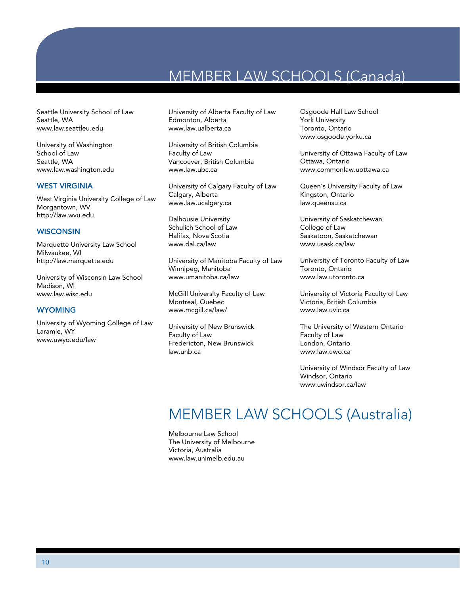## MEMBER LAW SCHOOLS (Canada)

Seattle University School of Law Seattle, WA <www.law.seattleu.edu>

University of Washington School of Law Seattle, WA <www.law.washington.edu>

#### **WEST VIRGINIA**

West Virginia University College of Law Morgantown, WV <http://law.wvu.edu>

#### **WISCONSIN**

Marquette University Law School Milwaukee, WI <http://law.marquette.edu>

University of Wisconsin Law School Madison, WI <www.law.wisc.edu>

#### **WYOMING**

University of Wyoming College of Law Laramie, WY <www.uwyo.edu/law>

University of Alberta Faculty of Law Edmonton, Alberta <www.law.ualberta.ca>

University of British Columbia Faculty of Law Vancouver, British Columbia <www.law.ubc.ca>

University of Calgary Faculty of Law Calgary, Alberta <www.law.ucalgary.ca>

Dalhousie University Schulich School of Law Halifax, Nova Scotia <www.dal.ca/law>

University of Manitoba Faculty of Law Winnipeg, Manitoba <www.umanitoba.ca/law>

McGill University Faculty of Law Montreal, Quebec <www.mcgill.ca/law/>

University of New Brunswick Faculty of Law Fredericton, New Brunswick <law.unb.ca>

Osgoode Hall Law School York University Toronto, Ontario <www.osgoode.yorku.ca>

University of Ottawa Faculty of Law Ottawa, Ontario <www.commonlaw.uottawa.ca>

Queen's University Faculty of Law Kingston, Ontario <law.queensu.ca>

University of Saskatchewan College of Law Saskatoon, Saskatchewan <www.usask.ca/law>

University of Toronto Faculty of Law Toronto, Ontario <www.law.utoronto.ca>

University of Victoria Faculty of Law Victoria, British Columbia <www.law.uvic.ca>

The University of Western Ontario Faculty of Law London, Ontario <www.law.uwo.ca>

University of Windsor Faculty of Law Windsor, Ontario <www.uwindsor.ca/law>

## MEMBER LAW SCHOOLS (Australia)

Melbourne Law School The University of Melbourne Victoria, Australia <www.law.unimelb.edu.au>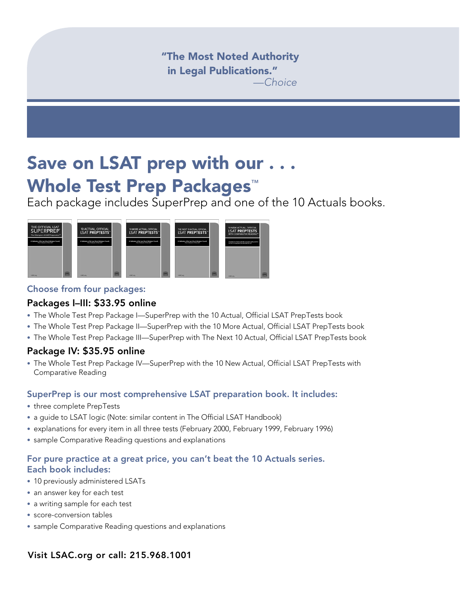#### **"The Most Noted Authority in Legal Publications."** —*Choice*

# **Save on LSAT prep with our . . . Whole Test Prep Packages**™

Each package includes SuperPrep and one of the 10 Actuals books.



#### **Choose from four packages:**

#### **Packages I–III: \$33.95 online**

- The Whole Test Prep Package I—SuperPrep with the 10 Actual, Official LSAT PrepTests book
- The Whole Test Prep Package II—SuperPrep with the 10 More Actual, Official LSAT PrepTests book
- The Whole Test Prep Package III—SuperPrep with The Next 10 Actual, Official LSAT PrepTests book

#### **Package IV: \$35.95 online**

• The Whole Test Prep Package IV—SuperPrep with the 10 New Actual, Official LSAT PrepTests with Comparative Reading

#### **SuperPrep is our most comprehensive LSAT preparation book. It includes:**

- three complete PrepTests
- a guide to LSAT logic (Note: similar content in The Official LSAT Handbook)
- explanations for every item in all three tests (February 2000, February 1999, February 1996)
- sample Comparative Reading questions and explanations

#### **For pure practice at a great price, you can't beat the 10 Actuals series. Each book includes:**

- 10 previously administered LSATs
- an answer key for each test
- a writing sample for each test
- score-conversion tables
- sample Comparative Reading questions and explanations

#### **Visit [LSAC.org](www.LSAC.org) or call: 215.968.1001**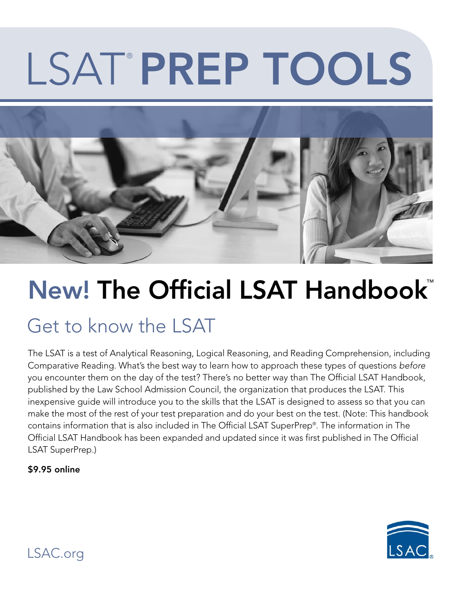# LSAT ® **PREP TOOLS**



# **New! The Official LSAT Handbook**™ Get to know the ISAT

The LSAT is a test of Analytical Reasoning, Logical Reasoning, and Reading Comprehension, including Comparative Reading. What's the best way to learn how to approach these types of questions *before* you encounter them on the day of the test? There's no better way than The Official LSAT Handbook, published by the Law School Admission Council, the organization that produces the LSAT. This inexpensive guide will introduce you to the skills that the LSAT is designed to assess so that you can make the most of the rest of your test preparation and do your best on the test. (Note: This handbook contains information that is also included in The Official LSAT SuperPrep® . The information in The Official LSAT Handbook has been expanded and updated since it was first published in The Official LSAT SuperPrep.)

#### **\$9.95 online**



[LSAC.org](www.LSAC.org)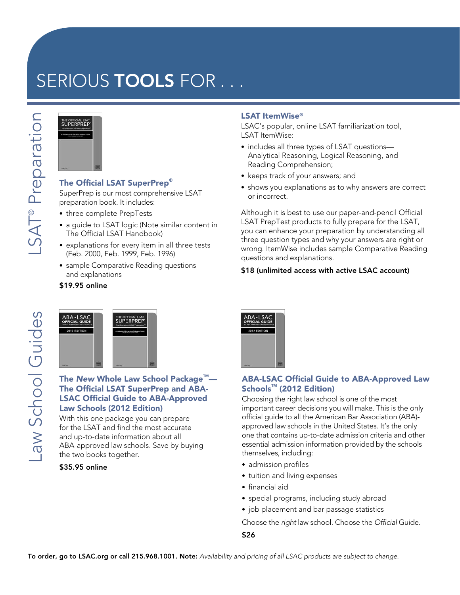# SERIOUS **TOOLS** FOR . . .



#### **The Official LSAT SuperPrep®**

SuperPrep is our most comprehensive LSAT preparation book. It includes:

- three complete PrepTests
- a guide to LSAT logic (Note similar content in The Official LSAT Handbook)
- explanations for every item in all three tests (Feb. 2000, Feb. 1999, Feb. 1996)
- sample Comparative Reading questions and explanations

#### **\$19.95 online**

#### **LSAT ItemWise®**

LSAC's popular, online LSAT familiarization tool, LSAT ItemWise:

- includes all three types of LSAT questions— Analytical Reasoning, Logical Reasoning, and Reading Comprehension;
- keeps track of your answers; and
- shows you explanations as to why answers are correct or incorrect.

Although it is best to use our paper-and-pencil Official LSAT PrepTest products to fully prepare for the LSAT, you can enhance your preparation by understanding all three question types and why your answers are right or wrong. ItemWise includes sample Comparative Reading questions and explanations.

#### **\$18 (unlimited access with active LSAC account)**



#### **The New Whole Law School Package™**— **The Official LSAT SuperPrep and ABA-LSAC Official Guide to ABA-Approved Law Schools (2012 Edition)**

CONTRESSIGN SUPERPREP<br>
THE *New Whole Law School Package*<br>
The *New Whole Law School Package*<br>
The Official LSAT SuperPrep and ABA-<br>
LSAC Official Guide to ABA-Approved<br>
Law Schools (2012 Edition)<br>
With this one package yo With this one package you can prepare for the LSAT and find the most accurate and up-to-date information about all ABA-approved law schools. Save by buying the two books together.

#### **\$35.95 online**



#### **ABA-LSAC Official Guide to ABA-Approved Law Schools™ (2012 Edition)**

Choosing the right law school is one of the most important career decisions you will make. This is the only official guide to all the American Bar Association (ABA) approved law schools in the United States. It's the only one that contains up-to-date admission criteria and other essential admission information provided by the schools themselves, including:

- admission profiles
- tuition and living expenses
- financial aid
- special programs, including study abroad
- job placement and bar passage statistics

Choose the *right* law school. Choose the *Official* Guide.

#### **\$26**